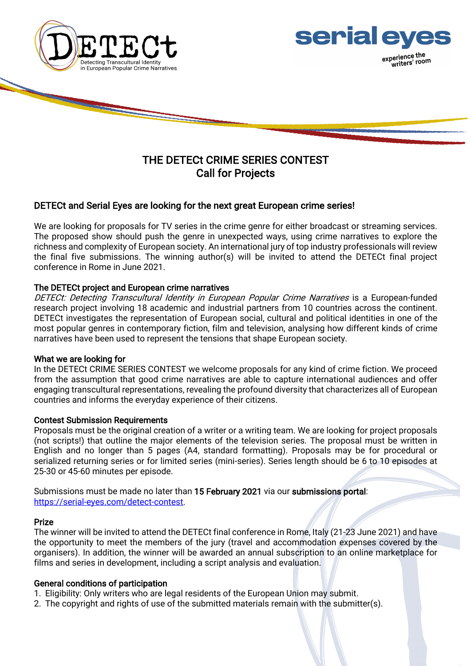

# THE DETECt CRIME SERIES CONTEST Call for Projects

## DETECt and Serial Eyes are looking for the next great European crime series!

We are looking for proposals for TV series in the crime genre for either broadcast or streaming services. The proposed show should push the genre in unexpected ways, using crime narratives to explore the richness and complexity of European society. An international jury of top industry professionals will review the final five submissions. The winning author(s) will be invited to attend the DETECt final project conference in Rome in June 2021.

## The DETECt project and European crime narratives

DETECt: Detecting Transcultural Identity in European Popular Crime Narratives is a European-funded research project involving 18 academic and industrial partners from 10 countries across the continent. DETECt investigates the representation of European social, cultural and political identities in one of the most popular genres in contemporary fiction, film and television, analysing how different kinds of crime narratives have been used to represent the tensions that shape European society.

### What we are looking for

In the DETECt CRIME SERIES CONTEST we welcome proposals for any kind of crime fiction. We proceed from the assumption that good crime narratives are able to capture international audiences and offer engaging transcultural representations, revealing the profound diversity that characterizes all of European countries and informs the everyday experience of their citizens.

### Contest Submission Requirements

Proposals must be the original creation of a writer or a writing team. We are looking for project proposals (not scripts!) that outline the major elements of the television series. The proposal must be written in English and no longer than 5 pages (A4, standard formatting). Proposals may be for procedural or serialized returning series or for limited series (mini-series). Series length should be 6 to 10 episodes at 25-30 or 45-60 minutes per episode.

Submissions must be made no later than 15 February 2021 via our submissions portal: https://serial-eyes.com/detect-contest.

### Prize

The winner will be invited to attend the DETECt final conference in Rome, Italy (21-23 June 2021) and have the opportunity to meet the members of the jury (travel and accommodation expenses covered by the organisers). In addition, the winner will be awarded an annual subscription to an online marketplace for films and series in development, including a script analysis and evaluation.

#### General conditions of participation

- 1. Eligibility: Only writers who are legal residents of the European Union may submit.
- 2. The copyright and rights of use of the submitted materials remain with the submitter(s).